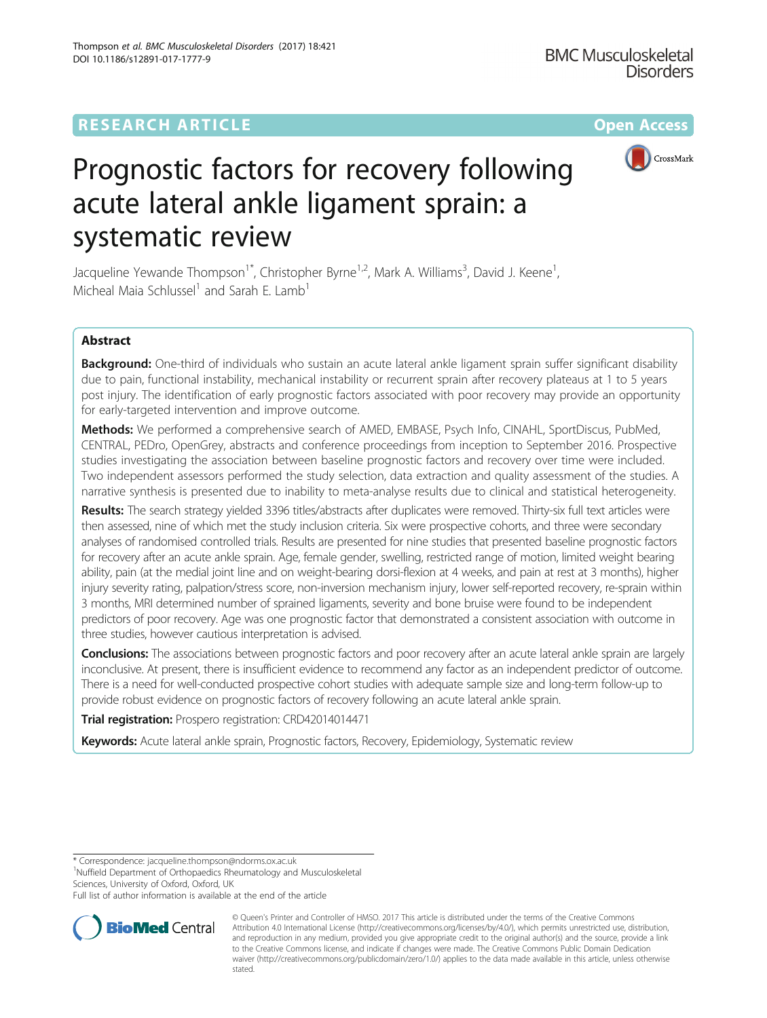

# Prognostic factors for recovery following acute lateral ankle ligament sprain: a systematic review

Jacqueline Yewande Thompson<sup>1\*</sup>, Christopher Byrne<sup>1,2</sup>, Mark A. Williams<sup>3</sup>, David J. Keene<sup>1</sup> , Micheal Maia Schlussel<sup>1</sup> and Sarah E. Lamb<sup>1</sup>

## Abstract

Background: One-third of individuals who sustain an acute lateral ankle ligament sprain suffer significant disability due to pain, functional instability, mechanical instability or recurrent sprain after recovery plateaus at 1 to 5 years post injury. The identification of early prognostic factors associated with poor recovery may provide an opportunity for early-targeted intervention and improve outcome.

Methods: We performed a comprehensive search of AMED, EMBASE, Psych Info, CINAHL, SportDiscus, PubMed, CENTRAL, PEDro, OpenGrey, abstracts and conference proceedings from inception to September 2016. Prospective studies investigating the association between baseline prognostic factors and recovery over time were included. Two independent assessors performed the study selection, data extraction and quality assessment of the studies. A narrative synthesis is presented due to inability to meta-analyse results due to clinical and statistical heterogeneity.

Results: The search strategy yielded 3396 titles/abstracts after duplicates were removed. Thirty-six full text articles were then assessed, nine of which met the study inclusion criteria. Six were prospective cohorts, and three were secondary analyses of randomised controlled trials. Results are presented for nine studies that presented baseline prognostic factors for recovery after an acute ankle sprain. Age, female gender, swelling, restricted range of motion, limited weight bearing ability, pain (at the medial joint line and on weight-bearing dorsi-flexion at 4 weeks, and pain at rest at 3 months), higher injury severity rating, palpation/stress score, non-inversion mechanism injury, lower self-reported recovery, re-sprain within 3 months, MRI determined number of sprained ligaments, severity and bone bruise were found to be independent predictors of poor recovery. Age was one prognostic factor that demonstrated a consistent association with outcome in three studies, however cautious interpretation is advised.

**Conclusions:** The associations between prognostic factors and poor recovery after an acute lateral ankle sprain are largely inconclusive. At present, there is insufficient evidence to recommend any factor as an independent predictor of outcome. There is a need for well-conducted prospective cohort studies with adequate sample size and long-term follow-up to provide robust evidence on prognostic factors of recovery following an acute lateral ankle sprain.

Trial registration: Prospero registration: [CRD42014014471](https://www.crd.york.ac.uk/PROSPERO/display_record.asp?ID=CRD42014014471)

Keywords: Acute lateral ankle sprain, Prognostic factors, Recovery, Epidemiology, Systematic review

\* Correspondence: [jacqueline.thompson@ndorms.ox.ac.uk](mailto:jacqueline.thompson@ndorms.ox.ac.uk) <sup>1</sup>

<sup>1</sup>Nuffield Department of Orthopaedics Rheumatology and Musculoskeletal Sciences, University of Oxford, Oxford, UK

Full list of author information is available at the end of the article



© Queen's Printer and Controller of HMSO. 2017 This article is distributed under the terms of the Creative Commons Attribution 4.0 International License [\(http://creativecommons.org/licenses/by/4.0/](http://creativecommons.org/licenses/by/4.0/)), which permits unrestricted use, distribution, and reproduction in any medium, provided you give appropriate credit to the original author(s) and the source, provide a link to the Creative Commons license, and indicate if changes were made. The Creative Commons Public Domain Dedication waiver [\(http://creativecommons.org/publicdomain/zero/1.0/\)](http://creativecommons.org/publicdomain/zero/1.0/) applies to the data made available in this article, unless otherwise stated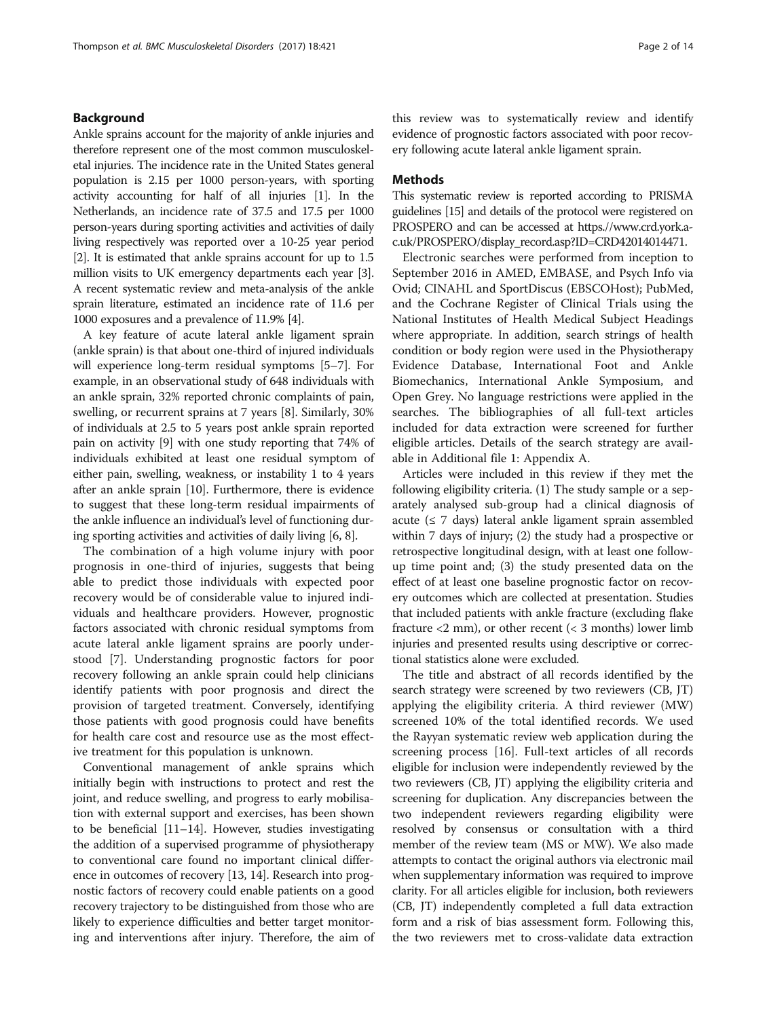## Background

Ankle sprains account for the majority of ankle injuries and therefore represent one of the most common musculoskeletal injuries. The incidence rate in the United States general population is 2.15 per 1000 person-years, with sporting activity accounting for half of all injuries [\[1\]](#page-12-0). In the Netherlands, an incidence rate of 37.5 and 17.5 per 1000 person-years during sporting activities and activities of daily living respectively was reported over a 10-25 year period [[2](#page-12-0)]. It is estimated that ankle sprains account for up to 1.5 million visits to UK emergency departments each year [[3](#page-12-0)]. A recent systematic review and meta-analysis of the ankle sprain literature, estimated an incidence rate of 11.6 per 1000 exposures and a prevalence of 11.9% [\[4](#page-12-0)].

A key feature of acute lateral ankle ligament sprain (ankle sprain) is that about one-third of injured individuals will experience long-term residual symptoms [[5](#page-12-0)–[7](#page-12-0)]. For example, in an observational study of 648 individuals with an ankle sprain, 32% reported chronic complaints of pain, swelling, or recurrent sprains at 7 years [\[8](#page-12-0)]. Similarly, 30% of individuals at 2.5 to 5 years post ankle sprain reported pain on activity [[9](#page-12-0)] with one study reporting that 74% of individuals exhibited at least one residual symptom of either pain, swelling, weakness, or instability 1 to 4 years after an ankle sprain [\[10\]](#page-12-0). Furthermore, there is evidence to suggest that these long-term residual impairments of the ankle influence an individual's level of functioning during sporting activities and activities of daily living [\[6](#page-12-0), [8\]](#page-12-0).

The combination of a high volume injury with poor prognosis in one-third of injuries, suggests that being able to predict those individuals with expected poor recovery would be of considerable value to injured individuals and healthcare providers. However, prognostic factors associated with chronic residual symptoms from acute lateral ankle ligament sprains are poorly understood [\[7](#page-12-0)]. Understanding prognostic factors for poor recovery following an ankle sprain could help clinicians identify patients with poor prognosis and direct the provision of targeted treatment. Conversely, identifying those patients with good prognosis could have benefits for health care cost and resource use as the most effective treatment for this population is unknown.

Conventional management of ankle sprains which initially begin with instructions to protect and rest the joint, and reduce swelling, and progress to early mobilisation with external support and exercises, has been shown to be beneficial [\[11](#page-12-0)–[14](#page-12-0)]. However, studies investigating the addition of a supervised programme of physiotherapy to conventional care found no important clinical difference in outcomes of recovery [[13](#page-12-0), [14\]](#page-12-0). Research into prognostic factors of recovery could enable patients on a good recovery trajectory to be distinguished from those who are likely to experience difficulties and better target monitoring and interventions after injury. Therefore, the aim of this review was to systematically review and identify evidence of prognostic factors associated with poor recovery following acute lateral ankle ligament sprain.

## **Methods**

This systematic review is reported according to PRISMA guidelines [\[15\]](#page-12-0) and details of the protocol were registered on PROSPERO and can be accessed at [https.//www.crd.york.a](https://www.crd.york.ac.uk/PROSPERO/display_record.asp?ID=CRD42014014471)[c.uk/PROSPERO/display\\_record.asp?ID=CRD42014014471.](https://www.crd.york.ac.uk/PROSPERO/display_record.asp?ID=CRD42014014471)

Electronic searches were performed from inception to September 2016 in AMED, EMBASE, and Psych Info via Ovid; CINAHL and SportDiscus (EBSCOHost); PubMed, and the Cochrane Register of Clinical Trials using the National Institutes of Health Medical Subject Headings where appropriate. In addition, search strings of health condition or body region were used in the Physiotherapy Evidence Database, International Foot and Ankle Biomechanics, International Ankle Symposium, and Open Grey. No language restrictions were applied in the searches. The bibliographies of all full-text articles included for data extraction were screened for further eligible articles. Details of the search strategy are available in Additional file [1](#page-12-0): Appendix A.

Articles were included in this review if they met the following eligibility criteria. (1) The study sample or a separately analysed sub-group had a clinical diagnosis of acute  $(≤ 7 \text{ days})$  lateral ankle ligament sprain assembled within 7 days of injury; (2) the study had a prospective or retrospective longitudinal design, with at least one followup time point and; (3) the study presented data on the effect of at least one baseline prognostic factor on recovery outcomes which are collected at presentation. Studies that included patients with ankle fracture (excluding flake fracture  $<$ 2 mm), or other recent  $(<$  3 months) lower limb injuries and presented results using descriptive or correctional statistics alone were excluded.

The title and abstract of all records identified by the search strategy were screened by two reviewers (CB, JT) applying the eligibility criteria. A third reviewer (MW) screened 10% of the total identified records. We used the Rayyan systematic review web application during the screening process [\[16\]](#page-12-0). Full-text articles of all records eligible for inclusion were independently reviewed by the two reviewers (CB, JT) applying the eligibility criteria and screening for duplication. Any discrepancies between the two independent reviewers regarding eligibility were resolved by consensus or consultation with a third member of the review team (MS or MW). We also made attempts to contact the original authors via electronic mail when supplementary information was required to improve clarity. For all articles eligible for inclusion, both reviewers (CB, JT) independently completed a full data extraction form and a risk of bias assessment form. Following this, the two reviewers met to cross-validate data extraction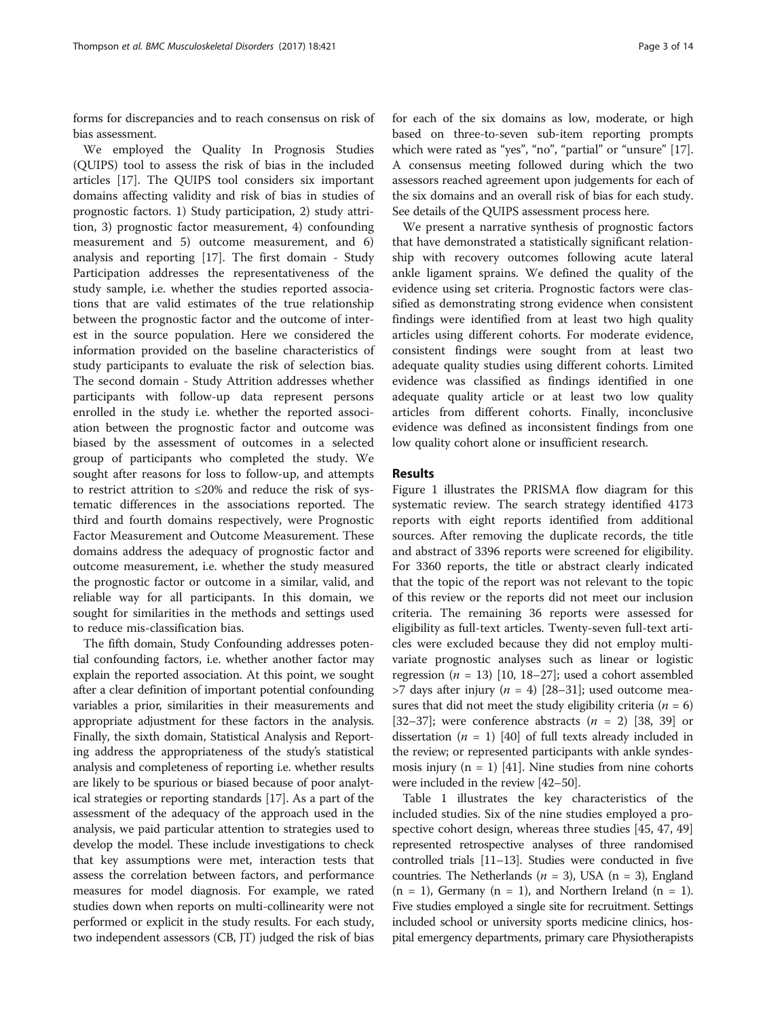forms for discrepancies and to reach consensus on risk of bias assessment.

We employed the Quality In Prognosis Studies (QUIPS) tool to assess the risk of bias in the included articles [[17\]](#page-12-0). The QUIPS tool considers six important domains affecting validity and risk of bias in studies of prognostic factors. 1) Study participation, 2) study attrition, 3) prognostic factor measurement, 4) confounding measurement and 5) outcome measurement, and 6) analysis and reporting [[17\]](#page-12-0). The first domain - Study Participation addresses the representativeness of the study sample, i.e. whether the studies reported associations that are valid estimates of the true relationship between the prognostic factor and the outcome of interest in the source population. Here we considered the information provided on the baseline characteristics of study participants to evaluate the risk of selection bias. The second domain - Study Attrition addresses whether participants with follow-up data represent persons enrolled in the study i.e. whether the reported association between the prognostic factor and outcome was biased by the assessment of outcomes in a selected group of participants who completed the study. We sought after reasons for loss to follow-up, and attempts to restrict attrition to ≤20% and reduce the risk of systematic differences in the associations reported. The third and fourth domains respectively, were Prognostic Factor Measurement and Outcome Measurement. These domains address the adequacy of prognostic factor and outcome measurement, i.e. whether the study measured the prognostic factor or outcome in a similar, valid, and reliable way for all participants. In this domain, we sought for similarities in the methods and settings used to reduce mis-classification bias.

The fifth domain, Study Confounding addresses potential confounding factors, i.e. whether another factor may explain the reported association. At this point, we sought after a clear definition of important potential confounding variables a prior, similarities in their measurements and appropriate adjustment for these factors in the analysis. Finally, the sixth domain, Statistical Analysis and Reporting address the appropriateness of the study's statistical analysis and completeness of reporting i.e. whether results are likely to be spurious or biased because of poor analytical strategies or reporting standards [\[17\]](#page-12-0). As a part of the assessment of the adequacy of the approach used in the analysis, we paid particular attention to strategies used to develop the model. These include investigations to check that key assumptions were met, interaction tests that assess the correlation between factors, and performance measures for model diagnosis. For example, we rated studies down when reports on multi-collinearity were not performed or explicit in the study results. For each study, two independent assessors (CB, JT) judged the risk of bias

for each of the six domains as low, moderate, or high based on three-to-seven sub-item reporting prompts which were rated as "yes", "no", "partial" or "unsure" [[17](#page-12-0)]. A consensus meeting followed during which the two assessors reached agreement upon judgements for each of the six domains and an overall risk of bias for each study. See details of the QUIPS assessment process [here](https://www.biomedcentral.com/content/supplementary/1546-0096-12-19-S1.pdf).

We present a narrative synthesis of prognostic factors that have demonstrated a statistically significant relationship with recovery outcomes following acute lateral ankle ligament sprains. We defined the quality of the evidence using set criteria. Prognostic factors were classified as demonstrating strong evidence when consistent findings were identified from at least two high quality articles using different cohorts. For moderate evidence, consistent findings were sought from at least two adequate quality studies using different cohorts. Limited evidence was classified as findings identified in one adequate quality article or at least two low quality articles from different cohorts. Finally, inconclusive evidence was defined as inconsistent findings from one low quality cohort alone or insufficient research.

## Results

Figure [1](#page-3-0) illustrates the PRISMA flow diagram for this systematic review. The search strategy identified 4173 reports with eight reports identified from additional sources. After removing the duplicate records, the title and abstract of 3396 reports were screened for eligibility. For 3360 reports, the title or abstract clearly indicated that the topic of the report was not relevant to the topic of this review or the reports did not meet our inclusion criteria. The remaining 36 reports were assessed for eligibility as full-text articles. Twenty-seven full-text articles were excluded because they did not employ multivariate prognostic analyses such as linear or logistic regression ( $n = 13$ ) [\[10,](#page-12-0) [18](#page-13-0)–[27](#page-13-0)]; used a cohort assembled  $>7$  days after injury ( $n = 4$ ) [[28](#page-13-0)–[31\]](#page-13-0); used outcome measures that did not meet the study eligibility criteria ( $n = 6$ ) [[32](#page-13-0)–[37\]](#page-13-0); were conference abstracts  $(n = 2)$  [[38](#page-13-0), [39\]](#page-13-0) or dissertation ( $n = 1$ ) [[40](#page-13-0)] of full texts already included in the review; or represented participants with ankle syndesmosis injury  $(n = 1)$  [[41](#page-13-0)]. Nine studies from nine cohorts were included in the review [[42](#page-13-0)–[50\]](#page-13-0).

Table [1](#page-4-0) illustrates the key characteristics of the included studies. Six of the nine studies employed a prospective cohort design, whereas three studies [[45](#page-13-0), [47](#page-13-0), [49](#page-13-0)] represented retrospective analyses of three randomised controlled trials [\[11](#page-12-0)–[13\]](#page-12-0). Studies were conducted in five countries. The Netherlands ( $n = 3$ ), USA ( $n = 3$ ), England  $(n = 1)$ , Germany  $(n = 1)$ , and Northern Ireland  $(n = 1)$ . Five studies employed a single site for recruitment. Settings included school or university sports medicine clinics, hospital emergency departments, primary care Physiotherapists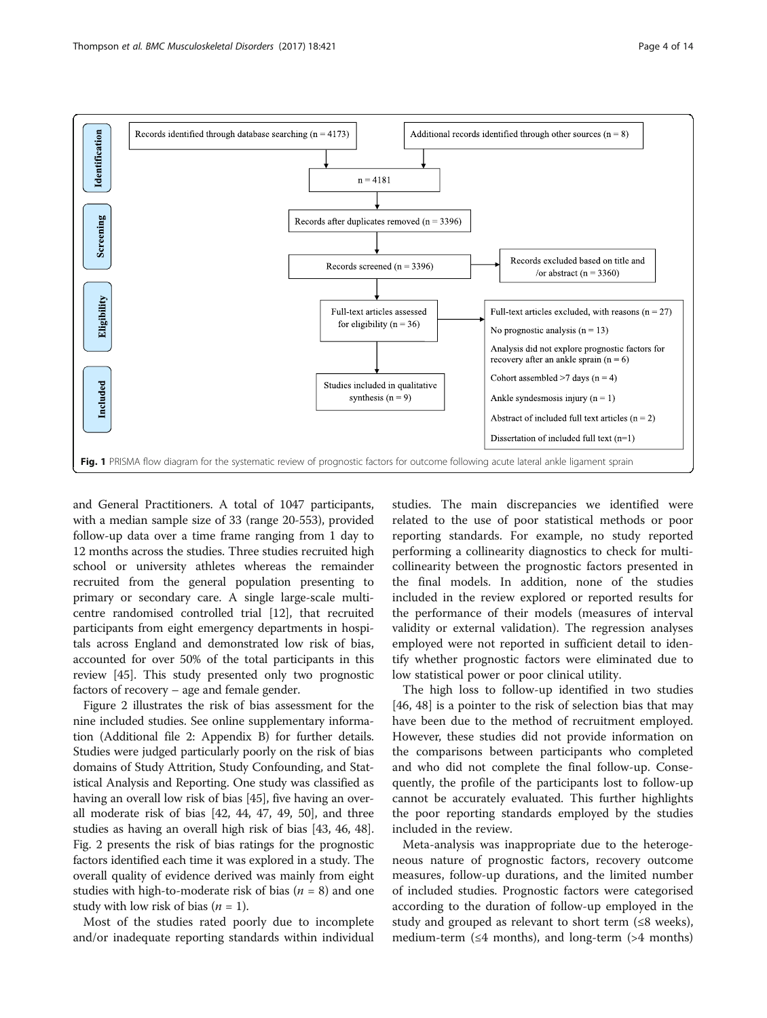<span id="page-3-0"></span>

and General Practitioners. A total of 1047 participants, with a median sample size of 33 (range 20-553), provided follow-up data over a time frame ranging from 1 day to 12 months across the studies. Three studies recruited high school or university athletes whereas the remainder recruited from the general population presenting to primary or secondary care. A single large-scale multicentre randomised controlled trial [\[12\]](#page-12-0), that recruited participants from eight emergency departments in hospitals across England and demonstrated low risk of bias, accounted for over 50% of the total participants in this review [\[45\]](#page-13-0). This study presented only two prognostic factors of recovery – age and female gender.

Figure [2](#page-5-0) illustrates the risk of bias assessment for the nine included studies. See online supplementary information (Additional file [2](#page-12-0): Appendix B) for further details. Studies were judged particularly poorly on the risk of bias domains of Study Attrition, Study Confounding, and Statistical Analysis and Reporting. One study was classified as having an overall low risk of bias [\[45\]](#page-13-0), five having an overall moderate risk of bias [\[42, 44, 47](#page-13-0), [49](#page-13-0), [50](#page-13-0)], and three studies as having an overall high risk of bias [\[43, 46](#page-13-0), [48](#page-13-0)]. Fig. [2](#page-5-0) presents the risk of bias ratings for the prognostic factors identified each time it was explored in a study. The overall quality of evidence derived was mainly from eight studies with high-to-moderate risk of bias ( $n = 8$ ) and one study with low risk of bias  $(n = 1)$ .

Most of the studies rated poorly due to incomplete and/or inadequate reporting standards within individual

studies. The main discrepancies we identified were related to the use of poor statistical methods or poor reporting standards. For example, no study reported performing a collinearity diagnostics to check for multicollinearity between the prognostic factors presented in the final models. In addition, none of the studies included in the review explored or reported results for the performance of their models (measures of interval validity or external validation). The regression analyses employed were not reported in sufficient detail to identify whether prognostic factors were eliminated due to low statistical power or poor clinical utility.

The high loss to follow-up identified in two studies [[46, 48\]](#page-13-0) is a pointer to the risk of selection bias that may have been due to the method of recruitment employed. However, these studies did not provide information on the comparisons between participants who completed and who did not complete the final follow-up. Consequently, the profile of the participants lost to follow-up cannot be accurately evaluated. This further highlights the poor reporting standards employed by the studies included in the review.

Meta-analysis was inappropriate due to the heterogeneous nature of prognostic factors, recovery outcome measures, follow-up durations, and the limited number of included studies. Prognostic factors were categorised according to the duration of follow-up employed in the study and grouped as relevant to short term  $(\leq 8$  weeks), medium-term ( $\leq 4$  months), and long-term ( $>4$  months)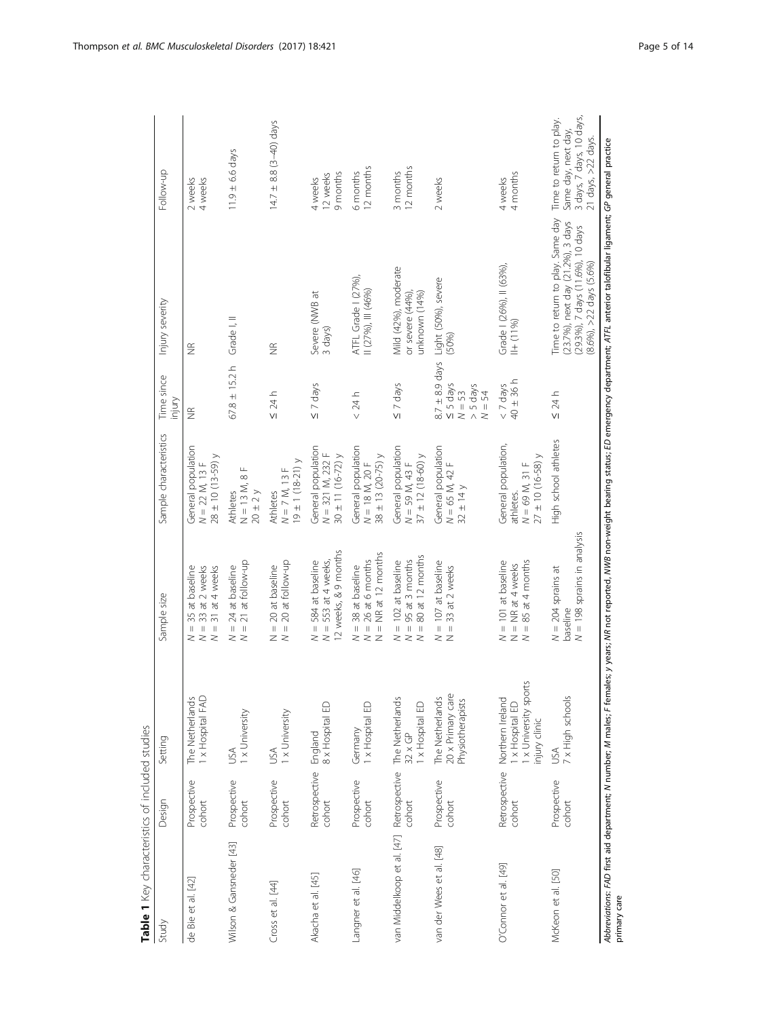<span id="page-4-0"></span>

| Study                                    | Design                  | Setting                                                                                   | Sample size                                                                                   | Sample characteristics                                                        | Time since<br>injury                                                      | Injury severity                                                                                                                             | Follow-up                                                                                        |
|------------------------------------------|-------------------------|-------------------------------------------------------------------------------------------|-----------------------------------------------------------------------------------------------|-------------------------------------------------------------------------------|---------------------------------------------------------------------------|---------------------------------------------------------------------------------------------------------------------------------------------|--------------------------------------------------------------------------------------------------|
| de Bie et al. [42]                       | Prospective<br>cohort   | 1 x Hospital FAD<br>The Netherlands                                                       | $N = 35$ at baseline<br>$N = 33$ at 2 weeks<br>$N = 31$ at 4 weeks                            | General population<br>$28 \pm 10 (13 - 59)$ y<br>$N = 22 M, 13 F$             | $\widetilde{\Xi}$                                                         | $\frac{\alpha}{2}$                                                                                                                          | 2 weeks<br>4 weeks                                                                               |
| Wilson & Gansneder [43]                  | Prospective<br>cohort   | I x University<br>JSA                                                                     | $N = 24$ at baseline<br>$N = 21$ at follow-up                                                 | $N = 13 M, 8 F$<br>$20 \pm 2y$<br>Athletes                                    | $67.8 \pm 15.2$ h                                                         | Grade I, II                                                                                                                                 | $11.9 \pm 6.6$ days                                                                              |
| Cross et al. [44]                        | Prospective<br>cohort   | x University<br>USA                                                                       | $N = 20$ at baseline<br>$N = 20$ at follow-up                                                 | $19 \pm 1 (18 - 21)$ y<br>$N = 7 M, 13 F$<br>Athletes                         | $\leq$ 24 h                                                               | $\frac{\alpha}{2}$                                                                                                                          | 14.7 $\pm$ 8.8 (3-40) days                                                                       |
| Akacha et al. [45]                       | Retrospective<br>cohort | 8 x Hospital ED<br>England                                                                | 12 weeks, & 9 months<br>$N = 553$ at 4 weeks,<br>$N = 584$ at baseline                        | General population<br>$N = 321 M, 232 F$<br>$30 \pm 11 (16 - 72)$ y           | $\leq$ 7 days                                                             | Severe (NVVB at<br>3 days)                                                                                                                  | 9 months<br>12 weeks<br>4 weeks                                                                  |
| Langner et al. [46]                      | Prospective<br>cohort   | I x Hospital ED<br>Germany                                                                | $N = NR$ at 12 months<br>$N = 26$ at 6 months<br>$N = 38$ at baseline                         | General population<br>$38 \pm 13$ (20-75) y<br>$N = 18 M, 20 F$               | < 24 h                                                                    | ATFL Grade I (27%),<br>II (27%), III (46%)                                                                                                  | 12 months<br>6 months                                                                            |
| van Middelkoop et al. [47] Retrospective | cohort                  | The Netherlands<br>x Hospital ED<br>$32 \times GP$                                        | $= 80$ at 12 months<br>$N = 95$ at 3 months<br>$N = 80$ at 12 months<br>$N = 102$ at baseline | General population<br>$37 \pm 12 (18 - 60)$ y<br>$N = 59$ M, 43 F             | $\leq$ 7 days                                                             | Mild (42%), moderate<br>or severe (44%),<br>unknown (14%)                                                                                   | 12 months<br>3 months                                                                            |
| van der Wees et al. [48]                 | Prospective<br>cohort   | 20 x Primary care<br>The Netherlands<br><sup>2</sup> hysiotherapists                      | $N = 107$ at baseline<br>N = 33 at 2 weeks                                                    | General population<br>$N = 65$ M, 42 F<br>$32 \pm 14$ y                       | $8.7 \pm 8.9$ days<br>$\leq$ 5 days<br>$> 5$ days<br>$N = 53$<br>$N = 54$ | Light (50%), severe<br>(50%)                                                                                                                | 2 weeks                                                                                          |
| O'Connor et al. [49]                     | cohort                  | S<br>x University spor<br>Retrospective Northern Ireland<br>x Hospital ED<br>njury clinic | $= 85$ at 4 months<br>$N = 101$ at baseline<br>N = NR at 4 weeks<br>$N = 85$ at 4 months      | General population,<br>$27 \pm 10 (16-58)$ y<br>$N = 69 M, 31 F$<br>athletes. | $40 \pm 36 h$<br>$<$ 7 days                                               | Grade   (26%),    (63%),<br>$   + (196)$                                                                                                    | 4 months<br>4 weeks                                                                              |
| McKeon et al. [50]                       | Prospective<br>cohort   | <sup>7</sup> x High schools<br>USA                                                        | N = 198 sprains in analysis<br>$N = 204$ sprains at<br>baseline                               | High school athletes                                                          | $\leq$ 24 h                                                               | Time to return to play. Same day<br>(23.7%), next day (21.2%), 3 days<br>(29.3%), 7 days (11.6%), 10 days<br>$(8.6\%)$ , >22 days $(5.6\%)$ | 3 days, 7 days, 10 days,<br>Time to return to play.<br>Same day, next day,<br>21 days, >22 days. |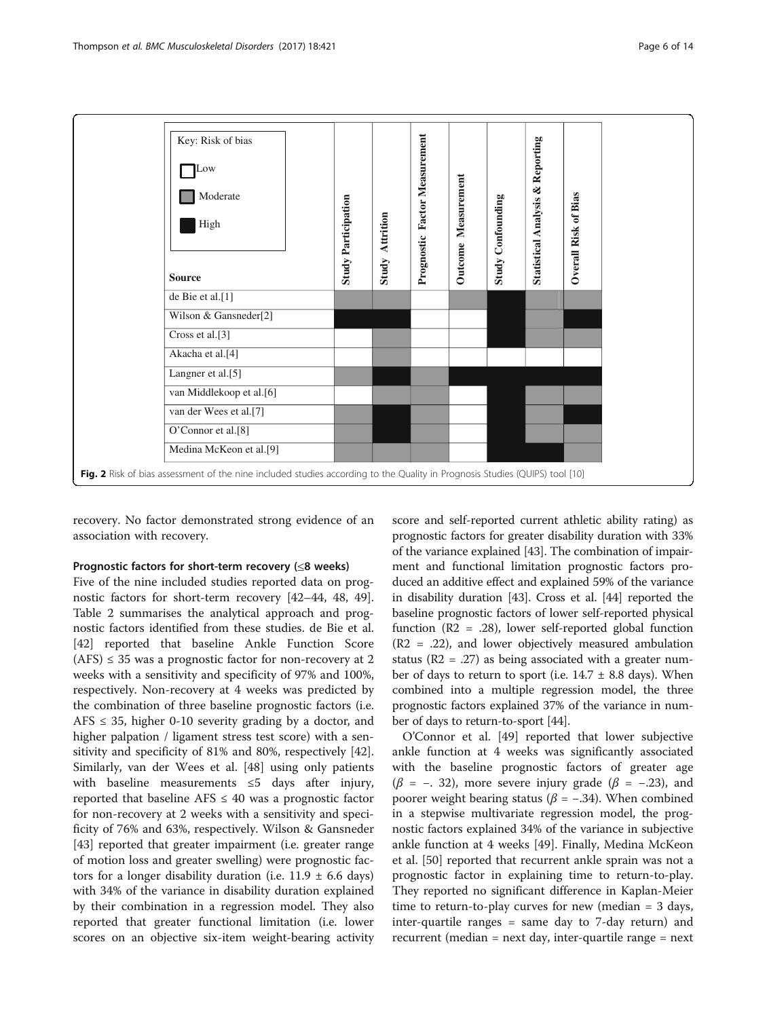<span id="page-5-0"></span>

recovery. No factor demonstrated strong evidence of an association with recovery.

#### Prognostic factors for short-term recovery (≤8 weeks)

Five of the nine included studies reported data on prognostic factors for short-term recovery [\[42](#page-13-0)–[44, 48](#page-13-0), [49](#page-13-0)]. Table [2](#page-6-0) summarises the analytical approach and prognostic factors identified from these studies. de Bie et al. [[42\]](#page-13-0) reported that baseline Ankle Function Score (AFS)  $\leq$  35 was a prognostic factor for non-recovery at 2 weeks with a sensitivity and specificity of 97% and 100%, respectively. Non-recovery at 4 weeks was predicted by the combination of three baseline prognostic factors (i.e. AFS  $\leq$  35, higher 0-10 severity grading by a doctor, and higher palpation / ligament stress test score) with a sensitivity and specificity of 81% and 80%, respectively [\[42](#page-13-0)]. Similarly, van der Wees et al. [\[48](#page-13-0)] using only patients with baseline measurements ≤5 days after injury, reported that baseline AFS  $\leq$  40 was a prognostic factor for non-recovery at 2 weeks with a sensitivity and specificity of 76% and 63%, respectively. Wilson & Gansneder [[43\]](#page-13-0) reported that greater impairment (i.e. greater range of motion loss and greater swelling) were prognostic factors for a longer disability duration (i.e.  $11.9 \pm 6.6$  days) with 34% of the variance in disability duration explained by their combination in a regression model. They also reported that greater functional limitation (i.e. lower scores on an objective six-item weight-bearing activity

score and self-reported current athletic ability rating) as prognostic factors for greater disability duration with 33% of the variance explained [[43](#page-13-0)]. The combination of impairment and functional limitation prognostic factors produced an additive effect and explained 59% of the variance in disability duration [[43](#page-13-0)]. Cross et al. [[44](#page-13-0)] reported the baseline prognostic factors of lower self-reported physical function ( $R2 = .28$ ), lower self-reported global function (R2 = .22), and lower objectively measured ambulation status ( $R2 = .27$ ) as being associated with a greater number of days to return to sport (i.e.  $14.7 \pm 8.8$  days). When combined into a multiple regression model, the three prognostic factors explained 37% of the variance in number of days to return-to-sport [\[44\]](#page-13-0).

O'Connor et al. [[49\]](#page-13-0) reported that lower subjective ankle function at 4 weeks was significantly associated with the baseline prognostic factors of greater age  $(\beta = -1.32)$ , more severe injury grade  $(\beta = -1.23)$ , and poorer weight bearing status ( $\beta$  = -.34). When combined in a stepwise multivariate regression model, the prognostic factors explained 34% of the variance in subjective ankle function at 4 weeks [[49\]](#page-13-0). Finally, Medina McKeon et al. [[50\]](#page-13-0) reported that recurrent ankle sprain was not a prognostic factor in explaining time to return-to-play. They reported no significant difference in Kaplan-Meier time to return-to-play curves for new (median = 3 days, inter-quartile ranges = same day to 7-day return) and recurrent (median = next day, inter-quartile range = next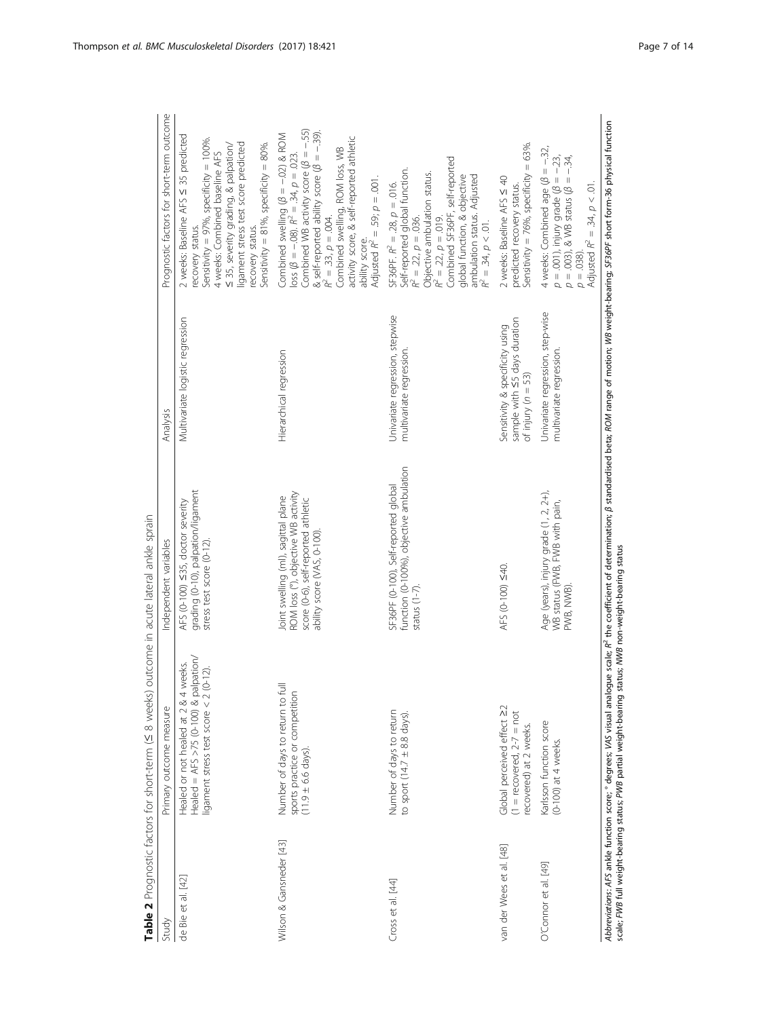<span id="page-6-0"></span>

| Study                    | Primary outcome measure                                                                                                          | Independent variables                                                                                                                            | Analysis                                                                                  | Prognostic factors for short-term outcome                                                                                                                                                                                                                                                                                                                        |
|--------------------------|----------------------------------------------------------------------------------------------------------------------------------|--------------------------------------------------------------------------------------------------------------------------------------------------|-------------------------------------------------------------------------------------------|------------------------------------------------------------------------------------------------------------------------------------------------------------------------------------------------------------------------------------------------------------------------------------------------------------------------------------------------------------------|
| de Bie et al. [42]       | pation/<br>Healed or not healed at 2 & 4 weeks.<br>ligament stress test score < $2$ (0-12).<br>Healed = $AFS > 75$ (0-100) & pal | grading (0-10), palpation/ligament<br>AFS (0-100) <35, doctor severity<br>stress test score $(0-12)$ .                                           | Multivariate logistic regression                                                          | 2 weeks: Baseline AFS < 35 predicted<br>Sensitivity = 97%, specificity = 100%.<br>igament stress test score predicted<br>Sensitivity = $81\%$ , specificity = $80\%$ .<br>≤ 35, severity grading, & palpation/<br>4 weeks: Combined baseline AFS<br>recovery status.<br>recovery status.                                                                         |
| Wilson & Gansneder [43]  | Number of days to return to full<br>sports practice or competition<br>$(11.9 \pm 6.6$ days).                                     | ROM loss (°), objective WB activity<br>Joint swelling (ml), sagittal plane<br>score (0-6), self-reported athletic<br>ability score (VAS, 0-100). | Hierarchical regression                                                                   | Combined WB activity score $(\beta = -55)$<br>& self-reported ability score ( $\beta$ = -.39).<br>$R^2$ = .33, $p$ = .004.<br>Combined swelling ( $β = -0.2$ ) & ROM<br>loss ( $β = -0.8$ ). $R^2 = 0.34$ , $p = 0.023$ .<br>activity score, & self-reported athletic<br>Combined swelling, ROM loss, WB<br>Adjusted $R^2 = 59$ ; $p = .001$ .<br>ability score. |
| Cross et al. [44]        | Number of days to return<br>to sport (14.7 $\pm$ 8.8 days).                                                                      | function (0-100%), objective ambulation<br>SF36PF (0-100), Self-reported global<br>status $(1-7)$ .                                              | Univariate regression, stepwise<br>multivariate regression.                               | Combined SF36PF, self-reported<br>Self-reported global function.<br>Objective ambulation status.<br>global function, & objective<br>ambulation status. Adjusted<br>SF36PF. $R^2 = .28$ , $p = .016$ .<br>$R^2 = .22$ , $p = .019$ .<br>$R^2 = .22, p = .036.$<br>$R^2 = .34, p < .01.$                                                                           |
| van der Wees et al. [48] | Global perceived effect 22<br>$(1 =$ recovered, $2-7 =$ not<br>recovered) at 2 weeks.                                            | AFS (0-100) 540.                                                                                                                                 | sample with <5 days duration<br>Sensitivity & specificity using<br>of injury ( $n = 53$ ) | Sensitivity = 76%, specificity = 63%.<br>2 weeks: Baseline AFS < 40<br>predicted recovery status.                                                                                                                                                                                                                                                                |
| O'Connor et al. [49]     | Karlsson function score<br>(0-100) at 4 weeks.                                                                                   | Age (years), injury grade (1, 2, 2+),<br>WB status (FWB, FWB with pain,<br>PWB, NWB)                                                             | Univariate regression, step-wise<br>multivariate regression.                              | 4 weeks: Combined age ( $\beta = -32$ ,<br>$p = 0.01$ ), injury grade ( $\beta = -23$ ,<br>$p = 0.03$ ), & WB status ( $\beta = -34$ ,<br>Adjusted $R^2 = 34$ , $p < 01$ .<br>$p = 038$                                                                                                                                                                          |

..<br>פ 5 .<br>ת .<br>ת ž. ..<br>פ  $\frac{1}{2}$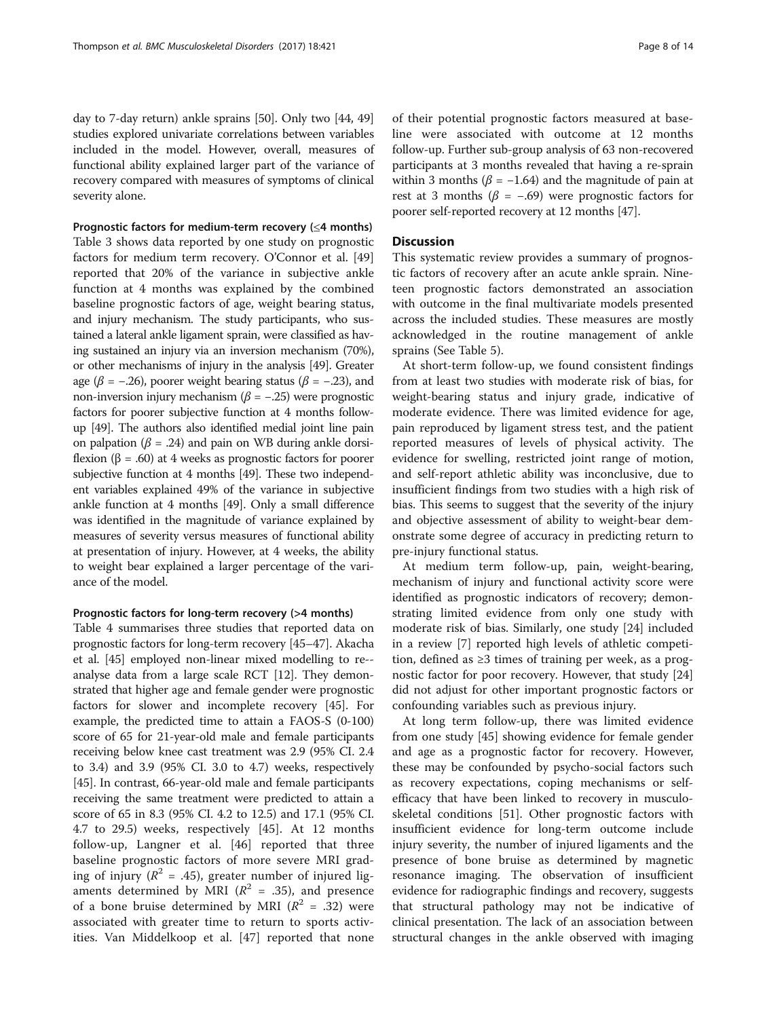day to 7-day return) ankle sprains [[50](#page-13-0)]. Only two [[44](#page-13-0), [49](#page-13-0)] studies explored univariate correlations between variables included in the model. However, overall, measures of functional ability explained larger part of the variance of recovery compared with measures of symptoms of clinical severity alone.

Prognostic factors for medium-term recovery (≤4 months) Table [3](#page-8-0) shows data reported by one study on prognostic factors for medium term recovery. O'Connor et al. [[49](#page-13-0)] reported that 20% of the variance in subjective ankle function at 4 months was explained by the combined baseline prognostic factors of age, weight bearing status, and injury mechanism. The study participants, who sustained a lateral ankle ligament sprain, were classified as having sustained an injury via an inversion mechanism (70%), or other mechanisms of injury in the analysis [\[49\]](#page-13-0). Greater age ( $\beta$  = -.26), poorer weight bearing status ( $\beta$  = -.23), and non-inversion injury mechanism ( $\beta$  = -.25) were prognostic factors for poorer subjective function at 4 months followup [[49](#page-13-0)]. The authors also identified medial joint line pain on palpation ( $\beta$  = .24) and pain on WB during ankle dorsiflexion (β = .60) at 4 weeks as prognostic factors for poorer subjective function at 4 months [[49](#page-13-0)]. These two independent variables explained 49% of the variance in subjective ankle function at 4 months [\[49\]](#page-13-0). Only a small difference was identified in the magnitude of variance explained by measures of severity versus measures of functional ability at presentation of injury. However, at 4 weeks, the ability to weight bear explained a larger percentage of the variance of the model.

#### Prognostic factors for long-term recovery (>4 months)

Table [4](#page-9-0) summarises three studies that reported data on prognostic factors for long-term recovery [[45](#page-13-0)–[47\]](#page-13-0). Akacha et al. [\[45](#page-13-0)] employed non-linear mixed modelling to re- analyse data from a large scale RCT [[12](#page-12-0)]. They demonstrated that higher age and female gender were prognostic factors for slower and incomplete recovery [[45](#page-13-0)]. For example, the predicted time to attain a FAOS-S (0-100) score of 65 for 21-year-old male and female participants receiving below knee cast treatment was 2.9 (95% CI. 2.4 to 3.4) and 3.9 (95% CI. 3.0 to 4.7) weeks, respectively [[45](#page-13-0)]. In contrast, 66-year-old male and female participants receiving the same treatment were predicted to attain a score of 65 in 8.3 (95% CI. 4.2 to 12.5) and 17.1 (95% CI. 4.7 to 29.5) weeks, respectively [[45\]](#page-13-0). At 12 months follow-up, Langner et al. [\[46](#page-13-0)] reported that three baseline prognostic factors of more severe MRI grading of injury ( $R^2 = .45$ ), greater number of injured ligaments determined by MRI ( $R^2$  = .35), and presence of a bone bruise determined by MRI ( $R^2$  = .32) were associated with greater time to return to sports activities. Van Middelkoop et al. [[47\]](#page-13-0) reported that none of their potential prognostic factors measured at baseline were associated with outcome at 12 months follow-up. Further sub-group analysis of 63 non-recovered participants at 3 months revealed that having a re-sprain within 3 months ( $\beta$  = -1.64) and the magnitude of pain at rest at 3 months ( $\beta$  = -.69) were prognostic factors for poorer self-reported recovery at 12 months [[47](#page-13-0)].

## **Discussion**

This systematic review provides a summary of prognostic factors of recovery after an acute ankle sprain. Nineteen prognostic factors demonstrated an association with outcome in the final multivariate models presented across the included studies. These measures are mostly acknowledged in the routine management of ankle sprains (See Table [5\)](#page-10-0).

At short-term follow-up, we found consistent findings from at least two studies with moderate risk of bias, for weight-bearing status and injury grade, indicative of moderate evidence. There was limited evidence for age, pain reproduced by ligament stress test, and the patient reported measures of levels of physical activity. The evidence for swelling, restricted joint range of motion, and self-report athletic ability was inconclusive, due to insufficient findings from two studies with a high risk of bias. This seems to suggest that the severity of the injury and objective assessment of ability to weight-bear demonstrate some degree of accuracy in predicting return to pre-injury functional status.

At medium term follow-up, pain, weight-bearing, mechanism of injury and functional activity score were identified as prognostic indicators of recovery; demonstrating limited evidence from only one study with moderate risk of bias. Similarly, one study [\[24\]](#page-13-0) included in a review [\[7](#page-12-0)] reported high levels of athletic competition, defined as ≥3 times of training per week, as a prognostic factor for poor recovery. However, that study [[24](#page-13-0)] did not adjust for other important prognostic factors or confounding variables such as previous injury.

At long term follow-up, there was limited evidence from one study [\[45\]](#page-13-0) showing evidence for female gender and age as a prognostic factor for recovery. However, these may be confounded by psycho-social factors such as recovery expectations, coping mechanisms or selfefficacy that have been linked to recovery in musculoskeletal conditions [[51\]](#page-13-0). Other prognostic factors with insufficient evidence for long-term outcome include injury severity, the number of injured ligaments and the presence of bone bruise as determined by magnetic resonance imaging. The observation of insufficient evidence for radiographic findings and recovery, suggests that structural pathology may not be indicative of clinical presentation. The lack of an association between structural changes in the ankle observed with imaging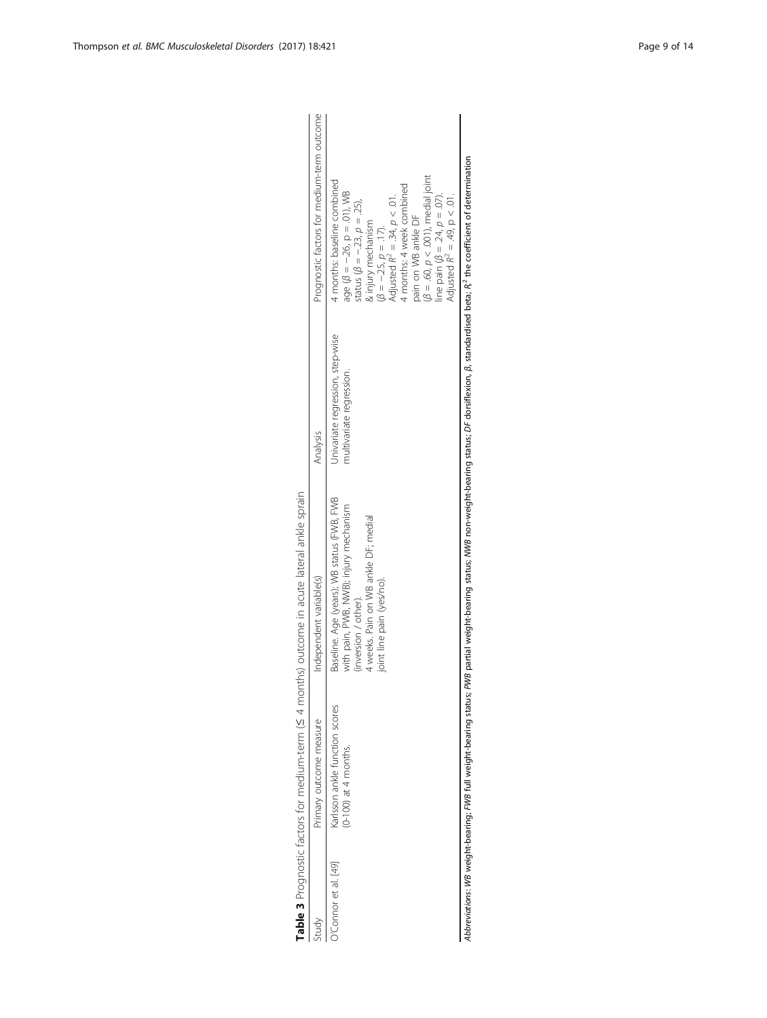<span id="page-8-0"></span>

|                    |                                                                   | Table 3 Prognostic factors for medium-term (≤ 4 months) outcome in acute lateral ankle sprain                                                                                     |                                                              |                                                                                                                                                                                                                                                                                                                                                                                      |
|--------------------|-------------------------------------------------------------------|-----------------------------------------------------------------------------------------------------------------------------------------------------------------------------------|--------------------------------------------------------------|--------------------------------------------------------------------------------------------------------------------------------------------------------------------------------------------------------------------------------------------------------------------------------------------------------------------------------------------------------------------------------------|
| vput               | Primary outcome measure                                           | Independent variable(s)                                                                                                                                                           | Analysis                                                     | Prognostic factors for medium-term outcome                                                                                                                                                                                                                                                                                                                                           |
| Connor et al. [49] | Karlsson ankle function scores<br>$(0-100)$ at 4 months.          | Baseline. Age (years); WB status (FWB, FWB<br>with pain, PWB, NWB); injury mechanism<br>4 weeks. Pain on WB ankle DF; medial<br>joint line pain (yes/no).<br>(inversion / other). | Jnivariate regression, step-wise<br>multivariate regression. | $(\beta = 60, p < .001)$ , medial joint<br>4 months: baseline combined<br>4 months: 4 week combined<br>age ( $\beta = -.26$ , $p = .01$ ), WB<br>line pain ( $\beta = 24$ , $p = 07$ ).<br>Adjusted $R^2 = .49$ , $p < .01$ .<br>Adjusted $R^2 = 0.34$ , $p < 0.01$ .<br>status ( $\beta = -23$ , $p = 25$ ),<br>pain on WB ankle DF<br>& injury mechanism<br>$\beta = -25, p = 17.$ |
|                    | Abbreviations: WB weight-bearing; FWB full weight-bearing status; | PWB partial weight-bearing status; NWB non-weight-bearing status; DF dorsiflexion, B, standardised beta; R, <sup>2</sup> the coefficient of determination                         |                                                              |                                                                                                                                                                                                                                                                                                                                                                                      |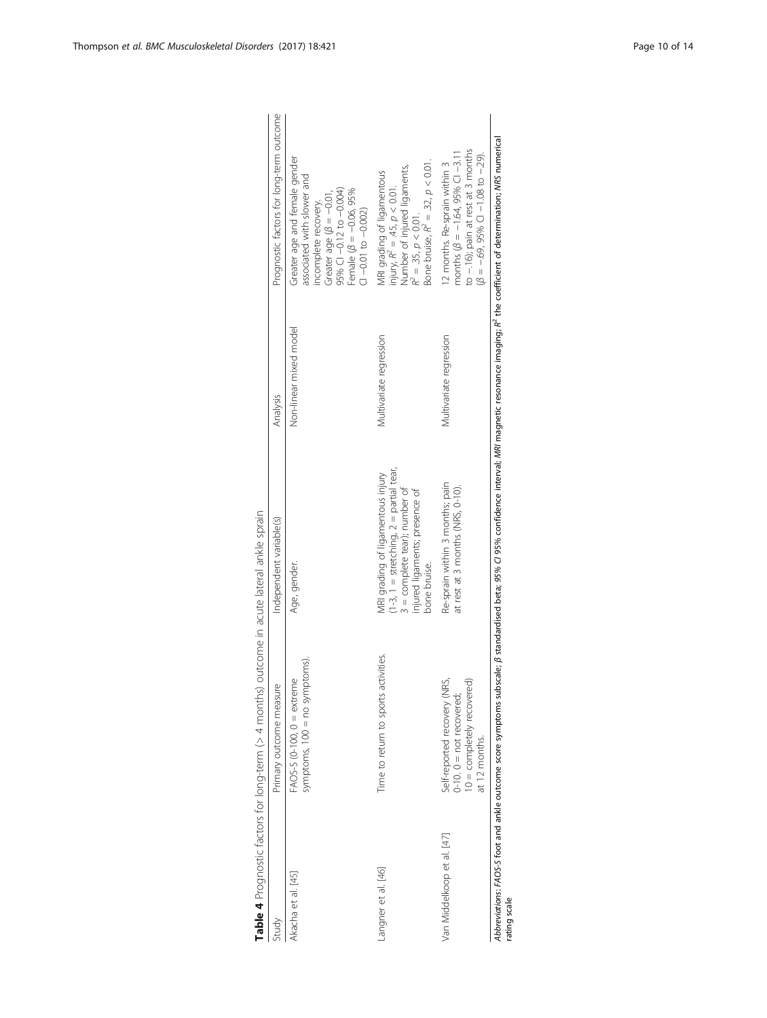<span id="page-9-0"></span>

|                                                                                | Table 4 Prognostic factors for long-term (> 4 months) outcome in acute lateral ankle sprain                |                                                                                                                                                                    |                         |                                                                                                                                                                                                              |
|--------------------------------------------------------------------------------|------------------------------------------------------------------------------------------------------------|--------------------------------------------------------------------------------------------------------------------------------------------------------------------|-------------------------|--------------------------------------------------------------------------------------------------------------------------------------------------------------------------------------------------------------|
| Study                                                                          | Primary outcome measure                                                                                    | Independent variable(s)                                                                                                                                            | Analysis                | Prognostic factors for long-term outcome                                                                                                                                                                     |
| Akacha et al. [45]                                                             | symptoms, 100 = no symptoms).<br>$FAOS-S (0-100, 0 = extreme$                                              | Age, gender.                                                                                                                                                       | Non-linear mixed model  | Greater age and female gender<br>associated with slower and<br>Female ( $\beta = -0.06$ , 95%<br>$95\%$ CI -0.12 to -0.04)<br>Greater age $(B = -0.01$ ,<br>incomplete recovery.<br>$(2000 - 0.010 - 0.002)$ |
| Langner et al. [46]                                                            | activities.<br>Time to return to sports                                                                    | $(1-3, 1)$ = stretching, 2 = partial tear,<br>MRI grading of ligamentous injury<br>s = complete tear); number of<br>injured ligaments; presence of<br>bone bruise. | Multivariate regression | Bone bruise, $R^2 = .32$ , $p < 0.01$ .<br>Number of injured ligaments,<br>$R^2 = .35$ , $p < 0.01$ .<br>MRI grading of ligamentous<br>injury, $R^2 = .45$ , $p < 0.01$ .                                    |
| Van Middelkoop et al. [47]                                                     | Self-reported recovery (NRS,<br>$10 =$ completely recovered)<br>$0-10.0 =$ not recovered;<br>at 12 months. | Re-sprain within 3 months; pain<br>at rest at 3 months (NRS, 0-10).                                                                                                | Multivariate regression | to -.16); pain at rest at 3 months<br>months $(\beta = -1.64, 95\% \text{ Cl} -3.11)$<br>$(69 - 69, 95\% \text{ C} - 1.08 \text{ to } -29).$<br>12 months. Re-sprain within 3                                |
| Abbreviations: FAOS-S foot and ankle outcome score symptoms su<br>rating scale |                                                                                                            | bscale; ß standardised beta; 95% C/ 95% confidence interval; MRI magnetic resonance imaging; A <sup>2</sup> the coefficient of determination; MRS numerical        |                         |                                                                                                                                                                                                              |

| ļ<br>l<br>İ                                    |
|------------------------------------------------|
| 1<br>i.                                        |
| İ<br>ì<br>i<br>j<br>$\frac{1}{4}$<br>į<br>í    |
| ï<br>)<br>S<br>I<br>$\frac{1}{5}$<br>I         |
| ا<br>ا                                         |
| $\vdots$<br>į<br>Ì<br>Í<br>$\overline{a}$<br>I |
| ł                                              |
| Ļ<br>I<br>Ì<br>ł                               |
|                                                |
| İ                                              |
|                                                |
| くすくさん<br>l<br>Ï<br>١<br>j                      |
| J                                              |
| Ì                                              |
|                                                |
| I                                              |
| ٢<br>١                                         |
| L<br>l                                         |
| 이어<br>J<br>ı                                   |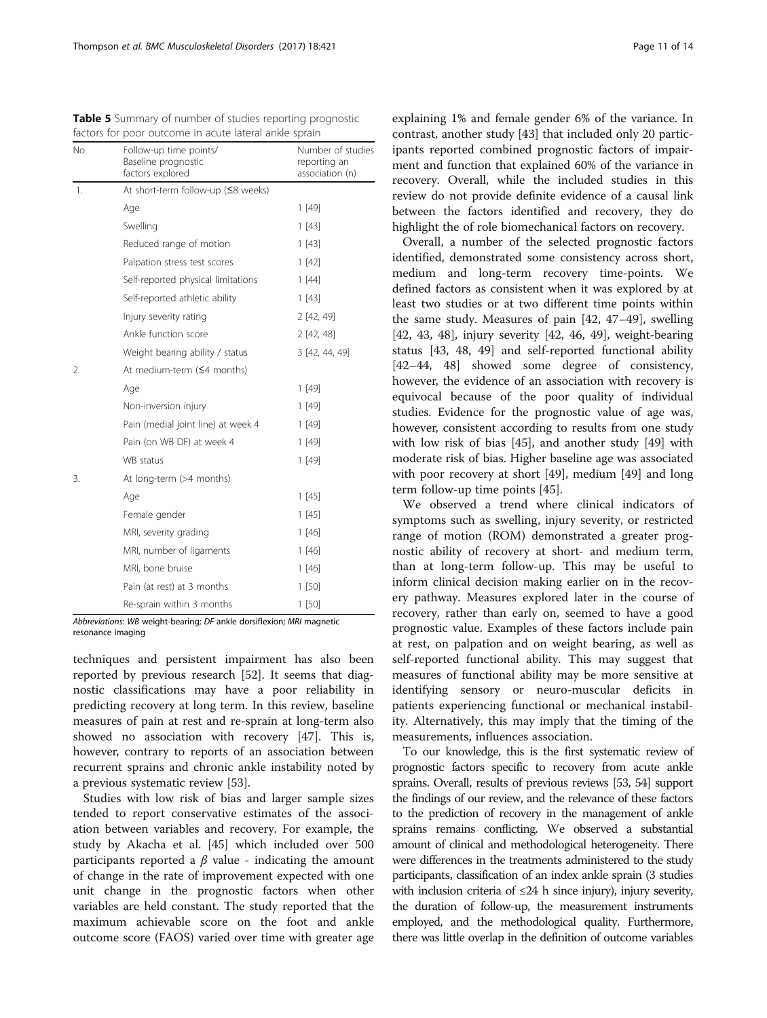<span id="page-10-0"></span>

|                                                        |  | Table 5 Summary of number of studies reporting prognostic |
|--------------------------------------------------------|--|-----------------------------------------------------------|
| factors for poor outcome in acute lateral ankle sprain |  |                                                           |

| No | Follow-up time points/<br>Baseline prognostic<br>factors explored | Number of studies<br>reporting an<br>association (n) |
|----|-------------------------------------------------------------------|------------------------------------------------------|
| 1. | At short-term follow-up (≤8 weeks)                                |                                                      |
|    | Age                                                               | 1[49]                                                |
|    | Swelling                                                          | 1 [43]                                               |
|    | Reduced range of motion                                           | 1 [43]                                               |
|    | Palpation stress test scores                                      | 1[42]                                                |
|    | Self-reported physical limitations                                | 1[44]                                                |
|    | Self-reported athletic ability                                    | 1 [43]                                               |
|    | Injury severity rating                                            | 2 [42, 49]                                           |
|    | Ankle function score                                              | $2$ [42, 48]                                         |
|    | Weight bearing ability / status                                   | 3 [42, 44, 49]                                       |
| 2. | At medium-term (≤4 months)                                        |                                                      |
|    | Age                                                               | 1 [49]                                               |
|    | Non-inversion injury                                              | 1 [49]                                               |
|    | Pain (medial joint line) at week 4                                | 1[49]                                                |
|    | Pain (on WB DF) at week 4                                         | 1 [49]                                               |
|    | WB status                                                         | 1 [49]                                               |
| 3. | At long-term (>4 months)                                          |                                                      |
|    | Age                                                               | 1 [45]                                               |
|    | Female gender                                                     | 1 [45]                                               |
|    | MRI, severity grading                                             | 1[46]                                                |
|    | MRI, number of ligaments                                          | 1 [46]                                               |
|    | MRI, bone bruise                                                  | 1 [46]                                               |
|    | Pain (at rest) at 3 months                                        | 1[50]                                                |
|    | Re-sprain within 3 months                                         | $1$ [50]                                             |

Abbreviations: WB weight-bearing; DF ankle dorsiflexion; MRI magnetic resonance imaging

techniques and persistent impairment has also been reported by previous research [\[52](#page-13-0)]. It seems that diagnostic classifications may have a poor reliability in predicting recovery at long term. In this review, baseline measures of pain at rest and re-sprain at long-term also showed no association with recovery [\[47](#page-13-0)]. This is, however, contrary to reports of an association between recurrent sprains and chronic ankle instability noted by a previous systematic review [\[53](#page-13-0)].

Studies with low risk of bias and larger sample sizes tended to report conservative estimates of the association between variables and recovery. For example, the study by Akacha et al. [[45](#page-13-0)] which included over 500 participants reported a  $\beta$  value - indicating the amount of change in the rate of improvement expected with one unit change in the prognostic factors when other variables are held constant. The study reported that the maximum achievable score on the foot and ankle outcome score (FAOS) varied over time with greater age

explaining 1% and female gender 6% of the variance. In contrast, another study [[43](#page-13-0)] that included only 20 participants reported combined prognostic factors of impairment and function that explained 60% of the variance in recovery. Overall, while the included studies in this review do not provide definite evidence of a causal link between the factors identified and recovery, they do highlight the of role biomechanical factors on recovery.

Overall, a number of the selected prognostic factors identified, demonstrated some consistency across short, medium and long-term recovery time-points. We defined factors as consistent when it was explored by at least two studies or at two different time points within the same study. Measures of pain [[42, 47](#page-13-0)–[49](#page-13-0)], swelling [[42, 43, 48](#page-13-0)], injury severity [\[42, 46](#page-13-0), [49](#page-13-0)], weight-bearing status [[43, 48, 49](#page-13-0)] and self-reported functional ability [[42](#page-13-0)–[44](#page-13-0), [48](#page-13-0)] showed some degree of consistency, however, the evidence of an association with recovery is equivocal because of the poor quality of individual studies. Evidence for the prognostic value of age was, however, consistent according to results from one study with low risk of bias [\[45](#page-13-0)], and another study [[49](#page-13-0)] with moderate risk of bias. Higher baseline age was associated with poor recovery at short [\[49](#page-13-0)], medium [[49](#page-13-0)] and long term follow-up time points [[45\]](#page-13-0).

We observed a trend where clinical indicators of symptoms such as swelling, injury severity, or restricted range of motion (ROM) demonstrated a greater prognostic ability of recovery at short- and medium term, than at long-term follow-up. This may be useful to inform clinical decision making earlier on in the recovery pathway. Measures explored later in the course of recovery, rather than early on, seemed to have a good prognostic value. Examples of these factors include pain at rest, on palpation and on weight bearing, as well as self-reported functional ability. This may suggest that measures of functional ability may be more sensitive at identifying sensory or neuro-muscular deficits in patients experiencing functional or mechanical instability. Alternatively, this may imply that the timing of the measurements, influences association.

To our knowledge, this is the first systematic review of prognostic factors specific to recovery from acute ankle sprains. Overall, results of previous reviews [\[53](#page-13-0), [54\]](#page-13-0) support the findings of our review, and the relevance of these factors to the prediction of recovery in the management of ankle sprains remains conflicting. We observed a substantial amount of clinical and methodological heterogeneity. There were differences in the treatments administered to the study participants, classification of an index ankle sprain (3 studies with inclusion criteria of ≤24 h since injury), injury severity, the duration of follow-up, the measurement instruments employed, and the methodological quality. Furthermore, there was little overlap in the definition of outcome variables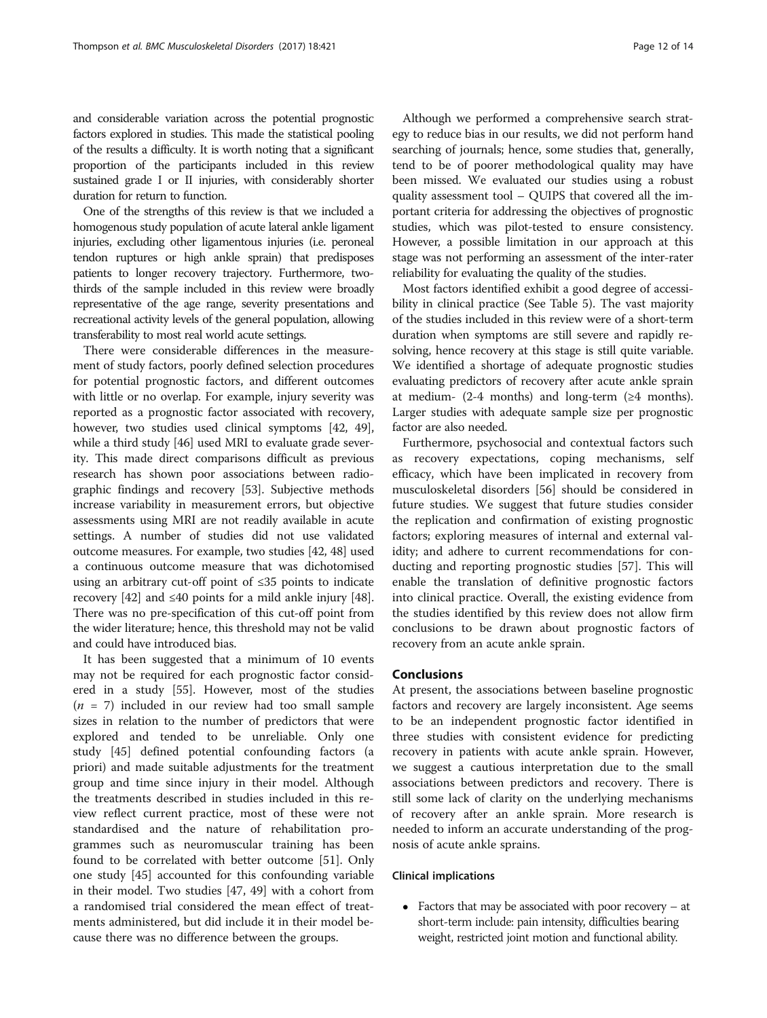and considerable variation across the potential prognostic factors explored in studies. This made the statistical pooling of the results a difficulty. It is worth noting that a significant proportion of the participants included in this review sustained grade I or II injuries, with considerably shorter duration for return to function.

One of the strengths of this review is that we included a homogenous study population of acute lateral ankle ligament injuries, excluding other ligamentous injuries (i.e. peroneal tendon ruptures or high ankle sprain) that predisposes patients to longer recovery trajectory. Furthermore, twothirds of the sample included in this review were broadly representative of the age range, severity presentations and recreational activity levels of the general population, allowing transferability to most real world acute settings.

There were considerable differences in the measurement of study factors, poorly defined selection procedures for potential prognostic factors, and different outcomes with little or no overlap. For example, injury severity was reported as a prognostic factor associated with recovery, however, two studies used clinical symptoms [\[42](#page-13-0), [49](#page-13-0)], while a third study [[46](#page-13-0)] used MRI to evaluate grade severity. This made direct comparisons difficult as previous research has shown poor associations between radiographic findings and recovery [\[53](#page-13-0)]. Subjective methods increase variability in measurement errors, but objective assessments using MRI are not readily available in acute settings. A number of studies did not use validated outcome measures. For example, two studies [\[42, 48](#page-13-0)] used a continuous outcome measure that was dichotomised using an arbitrary cut-off point of ≤35 points to indicate recovery [\[42\]](#page-13-0) and ≤40 points for a mild ankle injury [[48](#page-13-0)]. There was no pre-specification of this cut-off point from the wider literature; hence, this threshold may not be valid and could have introduced bias.

It has been suggested that a minimum of 10 events may not be required for each prognostic factor considered in a study [[55\]](#page-13-0). However, most of the studies  $(n = 7)$  included in our review had too small sample sizes in relation to the number of predictors that were explored and tended to be unreliable. Only one study [[45\]](#page-13-0) defined potential confounding factors (a priori) and made suitable adjustments for the treatment group and time since injury in their model. Although the treatments described in studies included in this review reflect current practice, most of these were not standardised and the nature of rehabilitation programmes such as neuromuscular training has been found to be correlated with better outcome [[51\]](#page-13-0). Only one study [\[45\]](#page-13-0) accounted for this confounding variable in their model. Two studies [[47, 49](#page-13-0)] with a cohort from a randomised trial considered the mean effect of treatments administered, but did include it in their model because there was no difference between the groups.

Although we performed a comprehensive search strategy to reduce bias in our results, we did not perform hand searching of journals; hence, some studies that, generally, tend to be of poorer methodological quality may have been missed. We evaluated our studies using a robust quality assessment tool – QUIPS that covered all the important criteria for addressing the objectives of prognostic studies, which was pilot-tested to ensure consistency. However, a possible limitation in our approach at this stage was not performing an assessment of the inter-rater reliability for evaluating the quality of the studies.

Most factors identified exhibit a good degree of accessibility in clinical practice (See Table [5](#page-10-0)). The vast majority of the studies included in this review were of a short-term duration when symptoms are still severe and rapidly resolving, hence recovery at this stage is still quite variable. We identified a shortage of adequate prognostic studies evaluating predictors of recovery after acute ankle sprain at medium-  $(2-4$  months) and long-term  $(24$  months). Larger studies with adequate sample size per prognostic factor are also needed.

Furthermore, psychosocial and contextual factors such as recovery expectations, coping mechanisms, self efficacy, which have been implicated in recovery from musculoskeletal disorders [[56\]](#page-13-0) should be considered in future studies. We suggest that future studies consider the replication and confirmation of existing prognostic factors; exploring measures of internal and external validity; and adhere to current recommendations for conducting and reporting prognostic studies [[57\]](#page-13-0). This will enable the translation of definitive prognostic factors into clinical practice. Overall, the existing evidence from the studies identified by this review does not allow firm conclusions to be drawn about prognostic factors of recovery from an acute ankle sprain.

## Conclusions

At present, the associations between baseline prognostic factors and recovery are largely inconsistent. Age seems to be an independent prognostic factor identified in three studies with consistent evidence for predicting recovery in patients with acute ankle sprain. However, we suggest a cautious interpretation due to the small associations between predictors and recovery. There is still some lack of clarity on the underlying mechanisms of recovery after an ankle sprain. More research is needed to inform an accurate understanding of the prognosis of acute ankle sprains.

## Clinical implications

• Factors that may be associated with poor recovery  $-$  at short-term include: pain intensity, difficulties bearing weight, restricted joint motion and functional ability.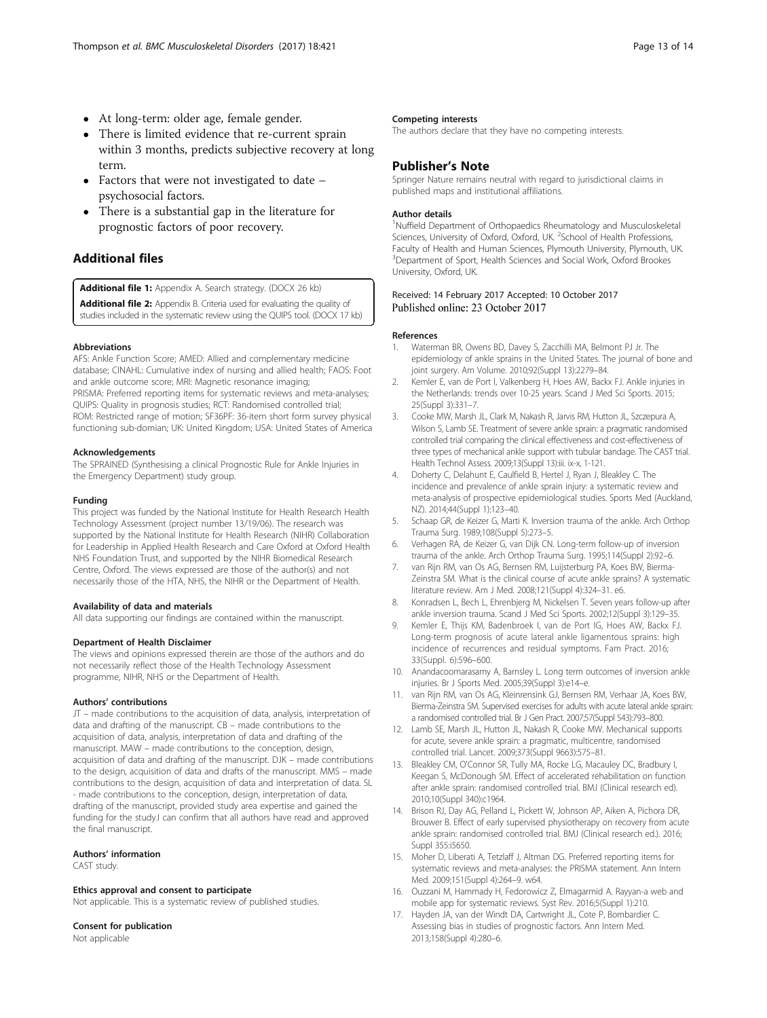- <span id="page-12-0"></span>At long-term: older age, female gender.
- There is limited evidence that re-current sprain within 3 months, predicts subjective recovery at long term.
- Factors that were not investigated to date psychosocial factors.
- There is a substantial gap in the literature for prognostic factors of poor recovery.

## Additional files

[Additional file 1:](dx.doi.org/10.1186/s12891-017-1777-9) Appendix A. Search strategy. (DOCX 26 kb)

[Additional file 2:](dx.doi.org/10.1186/s12891-017-1777-9) Appendix B. Criteria used for evaluating the quality of studies included in the systematic review using the QUIPS tool. (DOCX 17 kb)

#### Abbreviations

AFS: Ankle Function Score; AMED: Allied and complementary medicine database; CINAHL: Cumulative index of nursing and allied health; FAOS: Foot and ankle outcome score; MRI: Magnetic resonance imaging; PRISMA: Preferred reporting items for systematic reviews and meta-analyses; QUIPS: Quality in prognosis studies; RCT: Randomised controlled trial; ROM: Restricted range of motion; SF36PF: 36-item short form survey physical functioning sub-domian; UK: United Kingdom; USA: United States of America

#### Acknowledgements

The SPRAINED (Synthesising a clinical Prognostic Rule for Ankle Injuries in the Emergency Department) study group.

#### Funding

This project was funded by the National Institute for Health Research Health Technology Assessment (project number 13/19/06). The research was supported by the National Institute for Health Research (NIHR) Collaboration for Leadership in Applied Health Research and Care Oxford at Oxford Health NHS Foundation Trust, and supported by the NIHR Biomedical Research Centre, Oxford. The views expressed are those of the author(s) and not necessarily those of the HTA, NHS, the NIHR or the Department of Health.

#### Availability of data and materials

All data supporting our findings are contained within the manuscript.

#### Department of Health Disclaimer

The views and opinions expressed therein are those of the authors and do not necessarily reflect those of the Health Technology Assessment programme, NIHR, NHS or the Department of Health.

#### Authors' contributions

JT – made contributions to the acquisition of data, analysis, interpretation of data and drafting of the manuscript. CB – made contributions to the acquisition of data, analysis, interpretation of data and drafting of the manuscript. MAW – made contributions to the conception, design, acquisition of data and drafting of the manuscript. DJK – made contributions to the design, acquisition of data and drafts of the manuscript. MMS – made contributions to the design, acquisition of data and interpretation of data. SL - made contributions to the conception, design, interpretation of data, drafting of the manuscript, provided study area expertise and gained the funding for the study.I can confirm that all authors have read and approved the final manuscript.

#### Authors' information

CAST study.

#### Ethics approval and consent to participate

Not applicable. This is a systematic review of published studies.

#### Consent for publication

Not applicable

#### Competing interests

The authors declare that they have no competing interests.

## Publisher's Note

Springer Nature remains neutral with regard to jurisdictional claims in published maps and institutional affiliations.

#### Author details

<sup>1</sup>Nuffield Department of Orthopaedics Rheumatology and Musculoskeletal Sciences, University of Oxford, Oxford, UK. <sup>2</sup>School of Health Professions Faculty of Health and Human Sciences, Plymouth University, Plymouth, UK. <sup>3</sup>Department of Sport, Health Sciences and Social Work, Oxford Brookes University, Oxford, UK.

## Received: 14 February 2017 Accepted: 10 October 2017<br>Published online: 23 October 2017

#### References

- 1. Waterman BR, Owens BD, Davey S, Zacchilli MA, Belmont PJ Jr. The epidemiology of ankle sprains in the United States. The journal of bone and joint surgery. Am Volume. 2010;92(Suppl 13):2279–84.
- 2. Kemler E, van de Port I, Valkenberg H, Hoes AW, Backx FJ. Ankle injuries in the Netherlands: trends over 10-25 years. Scand J Med Sci Sports. 2015; 25(Suppl 3):331–7.
- 3. Cooke MW, Marsh JL, Clark M, Nakash R, Jarvis RM, Hutton JL, Szczepura A, Wilson S, Lamb SE. Treatment of severe ankle sprain: a pragmatic randomised controlled trial comparing the clinical effectiveness and cost-effectiveness of three types of mechanical ankle support with tubular bandage. The CAST trial. Health Technol Assess. 2009;13(Suppl 13):iii. ix-x, 1-121.
- 4. Doherty C, Delahunt E, Caulfield B, Hertel J, Ryan J, Bleakley C. The incidence and prevalence of ankle sprain injury: a systematic review and meta-analysis of prospective epidemiological studies. Sports Med (Auckland, NZ). 2014;44(Suppl 1):123–40.
- 5. Schaap GR, de Keizer G, Marti K. Inversion trauma of the ankle. Arch Orthop Trauma Surg. 1989;108(Suppl 5):273–5.
- 6. Verhagen RA, de Keizer G, van Dijk CN. Long-term follow-up of inversion trauma of the ankle. Arch Orthop Trauma Surg. 1995;114(Suppl 2):92–6.
- 7. van Rijn RM, van Os AG, Bernsen RM, Luijsterburg PA, Koes BW, Bierma-Zeinstra SM. What is the clinical course of acute ankle sprains? A systematic literature review. Am J Med. 2008;121(Suppl 4):324–31. e6.
- 8. Konradsen L, Bech L, Ehrenbjerg M, Nickelsen T. Seven years follow-up after ankle inversion trauma. Scand J Med Sci Sports. 2002;12(Suppl 3):129–35.
- 9. Kemler E, Thijs KM, Badenbroek I, van de Port IG, Hoes AW, Backx FJ. Long-term prognosis of acute lateral ankle ligamentous sprains: high incidence of recurrences and residual symptoms. Fam Pract. 2016; 33(Suppl. 6):596–600.
- 10. Anandacoomarasamy A, Barnsley L. Long term outcomes of inversion ankle injuries. Br J Sports Med. 2005;39(Suppl 3):e14–e.
- 11. van Rijn RM, van Os AG, Kleinrensink GJ, Bernsen RM, Verhaar JA, Koes BW, Bierma-Zeinstra SM. Supervised exercises for adults with acute lateral ankle sprain: a randomised controlled trial. Br J Gen Pract. 2007;57(Suppl 543):793–800.
- 12. Lamb SE, Marsh JL, Hutton JL, Nakash R, Cooke MW. Mechanical supports for acute, severe ankle sprain: a pragmatic, multicentre, randomised controlled trial. Lancet. 2009;373(Suppl 9663):575–81.
- 13. Bleakley CM, O'Connor SR, Tully MA, Rocke LG, Macauley DC, Bradbury I, Keegan S, McDonough SM. Effect of accelerated rehabilitation on function after ankle sprain: randomised controlled trial. BMJ (Clinical research ed). 2010;10(Suppl 340):c1964.
- 14. Brison RJ, Day AG, Pelland L, Pickett W, Johnson AP, Aiken A, Pichora DR, Brouwer B. Effect of early supervised physiotherapy on recovery from acute ankle sprain: randomised controlled trial. BMJ (Clinical research ed.). 2016; Suppl 355:i5650.
- 15. Moher D, Liberati A, Tetzlaff J, Altman DG. Preferred reporting items for systematic reviews and meta-analyses: the PRISMA statement. Ann Intern Med. 2009;151(Suppl 4):264–9. w64.
- 16. Ouzzani M, Hammady H, Fedorowicz Z, Elmagarmid A. Rayyan-a web and mobile app for systematic reviews. Syst Rev. 2016;5(Suppl 1):210.
- 17. Hayden JA, van der Windt DA, Cartwright JL, Cote P, Bombardier C. Assessing bias in studies of prognostic factors. Ann Intern Med. 2013;158(Suppl 4):280–6.